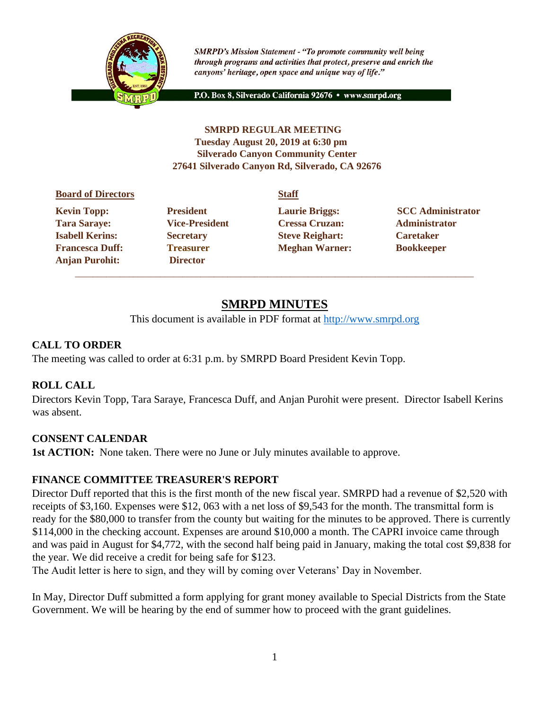

**SMRPD's Mission Statement - "To promote community well being** through programs and activities that protect, preserve and enrich the canyons' heritage, open space and unique way of life."

P.O. Box 8, Silverado California 92676 · www.smrpd.org

### **SMRPD REGULAR MEETING Tuesday August 20, 2019 at 6:30 pm Silverado Canyon Community Center 27641 Silverado Canyon Rd, Silverado, CA 92676**

#### **Board of Directors Staff**

**Anjan Purohit: Director**  \_\_\_\_\_\_\_\_\_\_\_\_\_\_\_\_\_\_\_\_\_\_\_\_\_\_\_\_\_\_\_\_\_\_\_\_\_\_\_\_\_\_\_\_\_\_\_\_\_\_\_\_\_\_\_\_\_\_\_\_\_\_\_\_\_\_\_\_\_\_\_\_\_\_\_\_\_\_\_\_\_\_\_\_\_\_\_\_\_

**Tara Saraye: Vice-President Cressa Cruzan: Administrator Isabell Kerins: Secretary Steve Reighart: Caretaker Francesca Duff: Treasurer Meghan Warner: Bookkeeper** 

**Kevin Topp:** President **Laurie Briggs:** SCC Administrator

# **SMRPD MINUTES**

This document is available in PDF format at http://www.smrpd.org

### **CALL TO ORDER**

The meeting was called to order at 6:31 p.m. by SMRPD Board President Kevin Topp.

### **ROLL CALL**

Directors Kevin Topp, Tara Saraye, Francesca Duff, and Anjan Purohit were present. Director Isabell Kerins was absent.

### **CONSENT CALENDAR**

**1st ACTION:** None taken. There were no June or July minutes available to approve.

#### **FINANCE COMMITTEE TREASURER'S REPORT**

Director Duff reported that this is the first month of the new fiscal year. SMRPD had a revenue of \$2,520 with receipts of \$3,160. Expenses were \$12, 063 with a net loss of \$9,543 for the month. The transmittal form is ready for the \$80,000 to transfer from the county but waiting for the minutes to be approved. There is currently \$114,000 in the checking account. Expenses are around \$10,000 a month. The CAPRI invoice came through and was paid in August for \$4,772, with the second half being paid in January, making the total cost \$9,838 for the year. We did receive a credit for being safe for \$123.

The Audit letter is here to sign, and they will by coming over Veterans' Day in November.

In May, Director Duff submitted a form applying for grant money available to Special Districts from the State Government. We will be hearing by the end of summer how to proceed with the grant guidelines.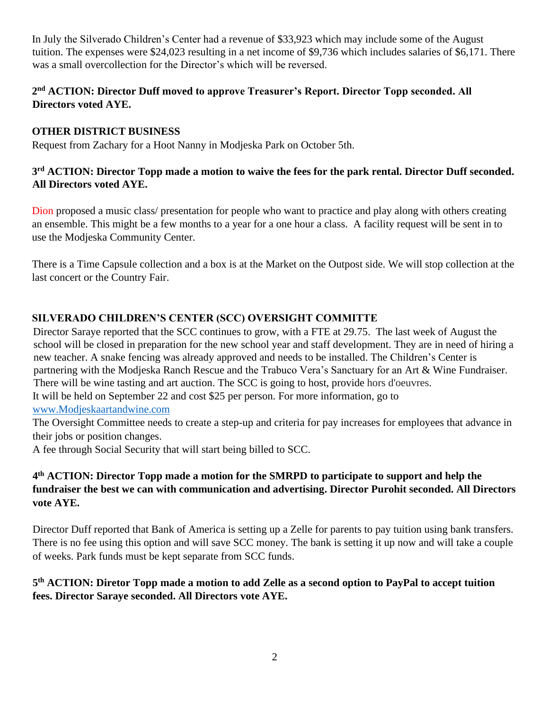In July the Silverado Children's Center had a revenue of \$33,923 which may include some of the August tuition. The expenses were \$24,023 resulting in a net income of \$9,736 which includes salaries of \$6,171. There was a small overcollection for the Director's which will be reversed.

### **2 nd ACTION: Director Duff moved to approve Treasurer's Report. Director Topp seconded. All Directors voted AYE.**

### **OTHER DISTRICT BUSINESS**

Request from Zachary for a Hoot Nanny in Modjeska Park on October 5th.

### **3 rd ACTION: Director Topp made a motion to waive the fees for the park rental. Director Duff seconded. All Directors voted AYE.**

Dion proposed a music class/ presentation for people who want to practice and play along with others creating an ensemble. This might be a few months to a year for a one hour a class. A facility request will be sent in to use the Modjeska Community Center.

There is a Time Capsule collection and a box is at the Market on the Outpost side. We will stop collection at the last concert or the Country Fair.

# **SILVERADO CHILDREN'S CENTER (SCC) OVERSIGHT COMMITTE**

Director Saraye reported that the SCC continues to grow, with a FTE at 29.75. The last week of August the school will be closed in preparation for the new school year and staff development. They are in need of hiring a new teacher. A snake fencing was already approved and needs to be installed. The Children's Center is partnering with the Modjeska Ranch Rescue and the Trabuco Vera's Sanctuary for an Art & Wine Fundraiser. There will be wine tasting and art auction. The SCC is going to host, provide hors d'oeuvres. It will be held on September 22 and cost \$25 per person. For more information, go to [www.Modjeskaartandwine.com](http://www.modjeskaartandwine.com/)

The Oversight Committee needs to create a step-up and criteria for pay increases for employees that advance in their jobs or position changes.

A fee through Social Security that will start being billed to SCC.

# **4 th ACTION: Director Topp made a motion for the SMRPD to participate to support and help the fundraiser the best we can with communication and advertising. Director Purohit seconded. All Directors vote AYE.**

Director Duff reported that Bank of America is setting up a Zelle for parents to pay tuition using bank transfers. There is no fee using this option and will save SCC money. The bank is setting it up now and will take a couple of weeks. Park funds must be kept separate from SCC funds.

# **5 th ACTION: Diretor Topp made a motion to add Zelle as a second option to PayPal to accept tuition fees. Director Saraye seconded. All Directors vote AYE.**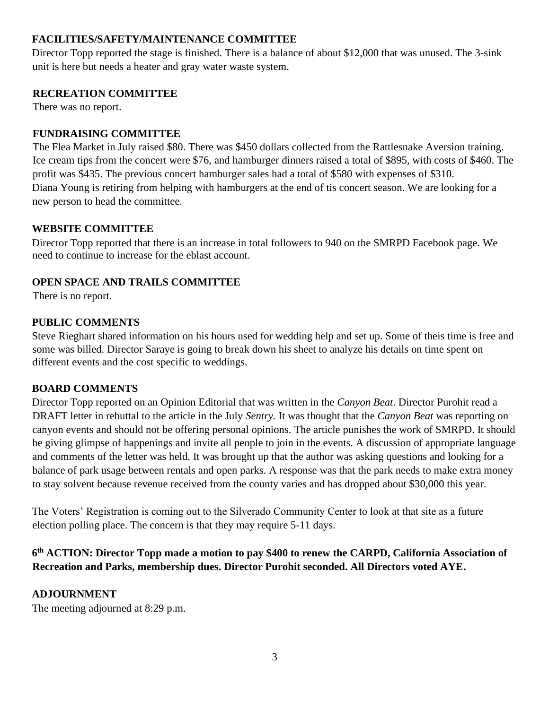### **FACILITIES/SAFETY/MAINTENANCE COMMITTEE**

Director Topp reported the stage is finished. There is a balance of about \$12,000 that was unused. The 3-sink unit is here but needs a heater and gray water waste system.

#### **RECREATION COMMITTEE**

There was no report.

### **FUNDRAISING COMMITTEE**

The Flea Market in July raised \$80. There was \$450 dollars collected from the Rattlesnake Aversion training. Ice cream tips from the concert were \$76, and hamburger dinners raised a total of \$895, with costs of \$460. The profit was \$435. The previous concert hamburger sales had a total of \$580 with expenses of \$310. Diana Young is retiring from helping with hamburgers at the end of tis concert season. We are looking for a new person to head the committee.

### **WEBSITE COMMITTEE**

Director Topp reported that there is an increase in total followers to 940 on the SMRPD Facebook page. We need to continue to increase for the eblast account.

### **OPEN SPACE AND TRAILS COMMITTEE**

There is no report.

### **PUBLIC COMMENTS**

Steve Rieghart shared information on his hours used for wedding help and set up. Some of theis time is free and some was billed. Director Saraye is going to break down his sheet to analyze his details on time spent on different events and the cost specific to weddings.

### **BOARD COMMENTS**

Director Topp reported on an Opinion Editorial that was written in the *Canyon Beat*. Director Purohit read a DRAFT letter in rebuttal to the article in the July *Sentry.* It was thought that the *Canyon Beat* was reporting on canyon events and should not be offering personal opinions. The article punishes the work of SMRPD. It should be giving glimpse of happenings and invite all people to join in the events. A discussion of appropriate language and comments of the letter was held. It was brought up that the author was asking questions and looking for a balance of park usage between rentals and open parks. A response was that the park needs to make extra money to stay solvent because revenue received from the county varies and has dropped about \$30,000 this year.

The Voters' Registration is coming out to the Silverado Community Center to look at that site as a future election polling place. The concern is that they may require 5-11 days.

# **6 th ACTION: Director Topp made a motion to pay \$400 to renew the CARPD, California Association of Recreation and Parks, membership dues. Director Purohit seconded. All Directors voted AYE.**

### **ADJOURNMENT**

The meeting adjourned at 8:29 p.m.